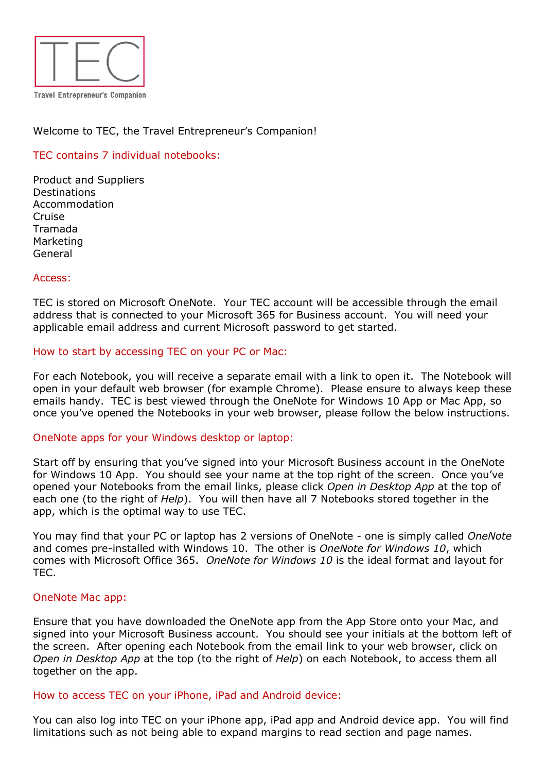

# Welcome to TEC, the Travel Entrepreneur's Companion!

# TEC contains 7 individual notebooks:

Product and Suppliers Destinations Accommodation Cruise Tramada Marketing General

### Access:

TEC is stored on Microsoft OneNote. Your TEC account will be accessible through the email address that is connected to your Microsoft 365 for Business account. You will need your applicable email address and current Microsoft password to get started.

### How to start by accessing TEC on your PC or Mac:

For each Notebook, you will receive a separate email with a link to open it. The Notebook will open in your default web browser (for example Chrome). Please ensure to always keep these emails handy. TEC is best viewed through the OneNote for Windows 10 App or Mac App, so once you've opened the Notebooks in your web browser, please follow the below instructions.

### OneNote apps for your Windows desktop or laptop:

Start off by ensuring that you've signed into your Microsoft Business account in the OneNote for Windows 10 App. You should see your name at the top right of the screen. Once you've opened your Notebooks from the email links, please click *Open in Desktop App* at the top of each one (to the right of *Help*). You will then have all 7 Notebooks stored together in the app, which is the optimal way to use TEC.

You may find that your PC or laptop has 2 versions of OneNote - one is simply called *OneNote* and comes pre-installed with Windows 10. The other is *OneNote for Windows 10*, which comes with Microsoft Office 365. *OneNote for Windows 10* is the ideal format and layout for TEC.

### OneNote Mac app:

Ensure that you have downloaded the OneNote app from the App Store onto your Mac, and signed into your Microsoft Business account. You should see your initials at the bottom left of the screen. After opening each Notebook from the email link to your web browser, click on *Open in Desktop App* at the top (to the right of *Help*) on each Notebook, to access them all together on the app.

#### How to access TEC on your iPhone, iPad and Android device:

You can also log into TEC on your iPhone app, iPad app and Android device app. You will find limitations such as not being able to expand margins to read section and page names.